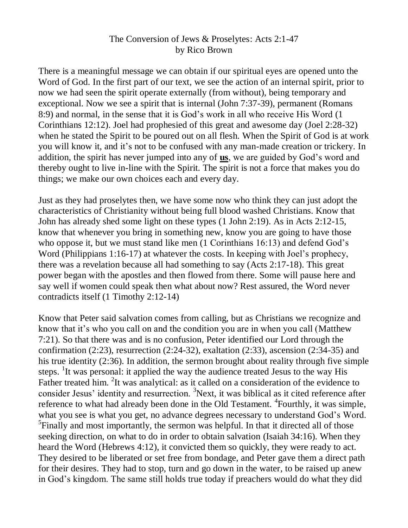## The Conversion of Jews & Proselytes: Acts 2:1-47 by Rico Brown

There is a meaningful message we can obtain if our spiritual eyes are opened unto the Word of God. In the first part of our text, we see the action of an internal spirit, prior to now we had seen the spirit operate externally (from without), being temporary and exceptional. Now we see a spirit that is internal (John 7:37-39), permanent (Romans 8:9) and normal, in the sense that it is God's work in all who receive His Word (1 Corinthians 12:12). Joel had prophesied of this great and awesome day (Joel 2:28-32) when he stated the Spirit to be poured out on all flesh. When the Spirit of God is at work you will know it, and it's not to be confused with any man-made creation or trickery. In addition, the spirit has never jumped into any of **us**, we are guided by God's word and thereby ought to live in-line with the Spirit. The spirit is not a force that makes you do things; we make our own choices each and every day.

Just as they had proselytes then, we have some now who think they can just adopt the characteristics of Christianity without being full blood washed Christians. Know that John has already shed some light on these types (1 John 2:19). As in Acts 2:12-15, know that whenever you bring in something new, know you are going to have those who oppose it, but we must stand like men (1 Corinthians 16:13) and defend God's Word (Philippians 1:16-17) at whatever the costs. In keeping with Joel's prophecy, there was a revelation because all had something to say (Acts 2:17-18). This great power began with the apostles and then flowed from there. Some will pause here and say well if women could speak then what about now? Rest assured, the Word never contradicts itself (1 Timothy 2:12-14)

Know that Peter said salvation comes from calling, but as Christians we recognize and know that it's who you call on and the condition you are in when you call (Matthew 7:21). So that there was and is no confusion, Peter identified our Lord through the confirmation (2:23), resurrection (2:24-32), exaltation (2:33), ascension (2:34-35) and his true identity (2:36). In addition, the sermon brought about reality through five simple steps. <sup>1</sup>It was personal: it applied the way the audience treated Jesus to the way His Father treated him. <sup>2</sup>It was analytical: as it called on a consideration of the evidence to consider Jesus' identity and resurrection. <sup>3</sup>Next, it was biblical as it cited reference after reference to what had already been done in the Old Testament. <sup>4</sup> Fourthly, it was simple, what you see is what you get, no advance degrees necessary to understand God's Word. <sup>5</sup>Finally and most importantly, the sermon was helpful. In that it directed all of those seeking direction, on what to do in order to obtain salvation (Isaiah 34:16). When they heard the Word (Hebrews 4:12), it convicted them so quickly, they were ready to act. They desired to be liberated or set free from bondage, and Peter gave them a direct path for their desires. They had to stop, turn and go down in the water, to be raised up anew in God's kingdom. The same still holds true today if preachers would do what they did